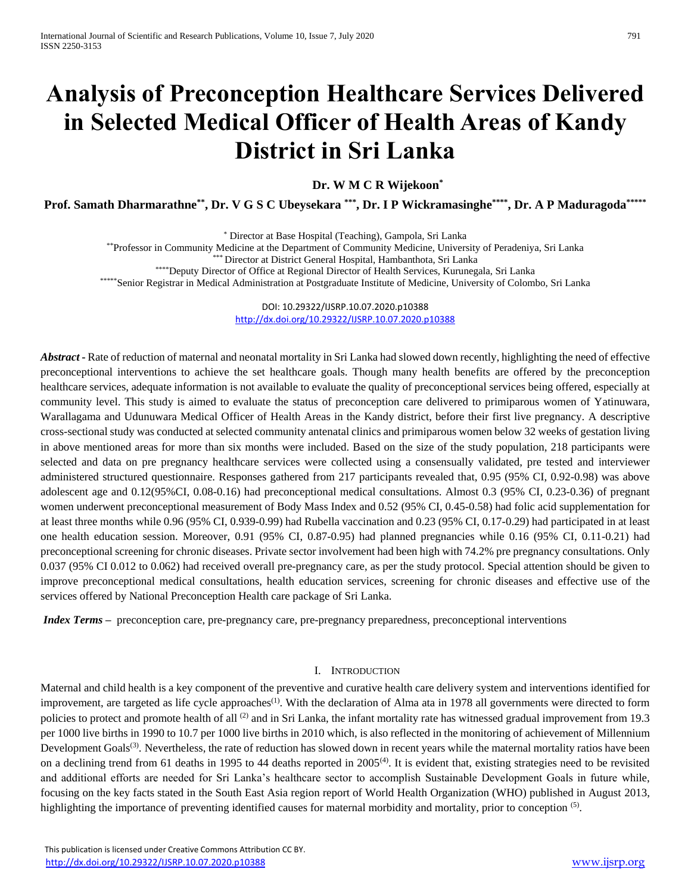# **Analysis of Preconception Healthcare Services Delivered in Selected Medical Officer of Health Areas of Kandy District in Sri Lanka**

**Dr. W M C R Wijekoon\***

**Prof. Samath Dharmarathne\*\* , Dr. V G S C Ubeysekara \*\*\*, Dr. I P Wickramasinghe\*\*\*\*, Dr. A P Maduragoda\*\*\*\*\***

\* Director at Base Hospital (Teaching), Gampola, Sri Lanka

\*\*Professor in Community Medicine at the Department of Community Medicine, University of Peradeniya, Sri Lanka

\*\*\* Director at District General Hospital, Hambanthota, Sri Lanka

\*\*\*\*Deputy Director of Office at Regional Director of Health Services, Kurunegala, Sri Lanka

\*\*\*\*\*Senior Registrar in Medical Administration at Postgraduate Institute of Medicine, University of Colombo, Sri Lanka

DOI: 10.29322/IJSRP.10.07.2020.p10388 <http://dx.doi.org/10.29322/IJSRP.10.07.2020.p10388>

*Abstract* **-** Rate of reduction of maternal and neonatal mortality in Sri Lanka had slowed down recently, highlighting the need of effective preconceptional interventions to achieve the set healthcare goals. Though many health benefits are offered by the preconception healthcare services, adequate information is not available to evaluate the quality of preconceptional services being offered, especially at community level. This study is aimed to evaluate the status of preconception care delivered to primiparous women of Yatinuwara, Warallagama and Udunuwara Medical Officer of Health Areas in the Kandy district, before their first live pregnancy. A descriptive cross-sectional study was conducted at selected community antenatal clinics and primiparous women below 32 weeks of gestation living in above mentioned areas for more than six months were included. Based on the size of the study population, 218 participants were selected and data on pre pregnancy healthcare services were collected using a consensually validated, pre tested and interviewer administered structured questionnaire. Responses gathered from 217 participants revealed that, 0.95 (95% CI, 0.92-0.98) was above adolescent age and 0.12(95%CI, 0.08-0.16) had preconceptional medical consultations. Almost 0.3 (95% CI, 0.23-0.36) of pregnant women underwent preconceptional measurement of Body Mass Index and 0.52 (95% CI, 0.45-0.58) had folic acid supplementation for at least three months while 0.96 (95% CI, 0.939-0.99) had Rubella vaccination and 0.23 (95% CI, 0.17-0.29) had participated in at least one health education session. Moreover, 0.91 (95% CI, 0.87-0.95) had planned pregnancies while 0.16 (95% CI, 0.11-0.21) had preconceptional screening for chronic diseases. Private sector involvement had been high with 74.2% pre pregnancy consultations. Only 0.037 (95% CI 0.012 to 0.062) had received overall pre-pregnancy care, as per the study protocol. Special attention should be given to improve preconceptional medical consultations, health education services, screening for chronic diseases and effective use of the services offered by National Preconception Health care package of Sri Lanka.

*Index Terms* – preconception care, pre-pregnancy care, pre-pregnancy preparedness, preconceptional interventions

#### I. INTRODUCTION

Maternal and child health is a key component of the preventive and curative health care delivery system and interventions identified for improvement, are targeted as life cycle approaches<sup>(1)</sup>. With the declaration of Alma ata in 1978 all governments were directed to form policies to protect and promote health of all <sup>(2)</sup> and in Sri Lanka, the infant mortality rate has witnessed gradual improvement from 19.3 per 1000 live births in 1990 to 10.7 per 1000 live births in 2010 which, is also reflected in the monitoring of achievement of Millennium Development Goals<sup>(3)</sup>. Nevertheless, the rate of reduction has slowed down in recent years while the maternal mortality ratios have been on a declining trend from 61 deaths in 1995 to 44 deaths reported in 2005<sup>(4)</sup>. It is evident that, existing strategies need to be revisited and additional efforts are needed for Sri Lanka's healthcare sector to accomplish Sustainable Development Goals in future while, focusing on the key facts stated in the South East Asia region report of World Health Organization (WHO) published in August 2013, highlighting the importance of preventing identified causes for maternal morbidity and mortality, prior to conception <sup>(5)</sup>.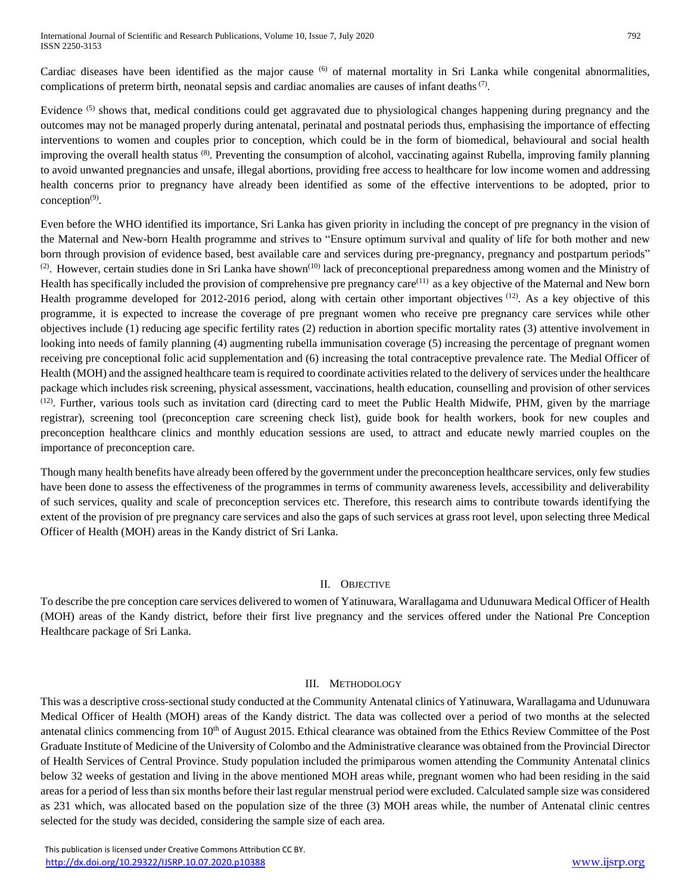Cardiac diseases have been identified as the major cause  $(6)$  of maternal mortality in Sri Lanka while congenital abnormalities, complications of preterm birth, neonatal sepsis and cardiac anomalies are causes of infant deaths<sup> $(7)$ </sup>.

Evidence <sup>(5)</sup> shows that, medical conditions could get aggravated due to physiological changes happening during pregnancy and the outcomes may not be managed properly during antenatal, perinatal and postnatal periods thus, emphasising the importance of effecting interventions to women and couples prior to conception, which could be in the form of biomedical, behavioural and social health improving the overall health status <sup>(8)</sup>. Preventing the consumption of alcohol, vaccinating against Rubella, improving family planning to avoid unwanted pregnancies and unsafe, illegal abortions, providing free access to healthcare for low income women and addressing health concerns prior to pregnancy have already been identified as some of the effective interventions to be adopted, prior to  $conception<sup>(9)</sup>$ .

Even before the WHO identified its importance, Sri Lanka has given priority in including the concept of pre pregnancy in the vision of the Maternal and New-born Health programme and strives to "Ensure optimum survival and quality of life for both mother and new born through provision of evidence based, best available care and services during pre-pregnancy, pregnancy and postpartum periods"  $^{(2)}$ . However, certain studies done in Sri Lanka have shown $^{(10)}$  lack of preconceptional preparedness among women and the Ministry of Health has specifically included the provision of comprehensive pre pregnancy care(11) as a key objective of the Maternal and New born Health programme developed for 2012-2016 period, along with certain other important objectives <sup>(12)</sup>. As a key objective of this programme, it is expected to increase the coverage of pre pregnant women who receive pre pregnancy care services while other objectives include (1) reducing age specific fertility rates (2) reduction in abortion specific mortality rates (3) attentive involvement in looking into needs of family planning (4) augmenting rubella immunisation coverage (5) increasing the percentage of pregnant women receiving pre conceptional folic acid supplementation and (6) increasing the total contraceptive prevalence rate. The Medial Officer of Health (MOH) and the assigned healthcare team is required to coordinate activities related to the delivery of services under the healthcare package which includes risk screening, physical assessment, vaccinations, health education, counselling and provision of other services  $(12)$ . Further, various tools such as invitation card (directing card to meet the Public Health Midwife, PHM, given by the marriage registrar), screening tool (preconception care screening check list), guide book for health workers, book for new couples and preconception healthcare clinics and monthly education sessions are used, to attract and educate newly married couples on the importance of preconception care.

Though many health benefits have already been offered by the government under the preconception healthcare services, only few studies have been done to assess the effectiveness of the programmes in terms of community awareness levels, accessibility and deliverability of such services, quality and scale of preconception services etc. Therefore, this research aims to contribute towards identifying the extent of the provision of pre pregnancy care services and also the gaps of such services at grass root level, upon selecting three Medical Officer of Health (MOH) areas in the Kandy district of Sri Lanka.

# II. OBJECTIVE

To describe the pre conception care services delivered to women of Yatinuwara, Warallagama and Udunuwara Medical Officer of Health (MOH) areas of the Kandy district, before their first live pregnancy and the services offered under the National Pre Conception Healthcare package of Sri Lanka.

#### III. METHODOLOGY

This was a descriptive cross-sectional study conducted at the Community Antenatal clinics of Yatinuwara, Warallagama and Udunuwara Medical Officer of Health (MOH) areas of the Kandy district. The data was collected over a period of two months at the selected antenatal clinics commencing from 10<sup>th</sup> of August 2015. Ethical clearance was obtained from the Ethics Review Committee of the Post Graduate Institute of Medicine of the University of Colombo and the Administrative clearance was obtained from the Provincial Director of Health Services of Central Province. Study population included the primiparous women attending the Community Antenatal clinics below 32 weeks of gestation and living in the above mentioned MOH areas while, pregnant women who had been residing in the said areas for a period of less than six months before their last regular menstrual period were excluded. Calculated sample size was considered as 231 which, was allocated based on the population size of the three (3) MOH areas while, the number of Antenatal clinic centres selected for the study was decided, considering the sample size of each area.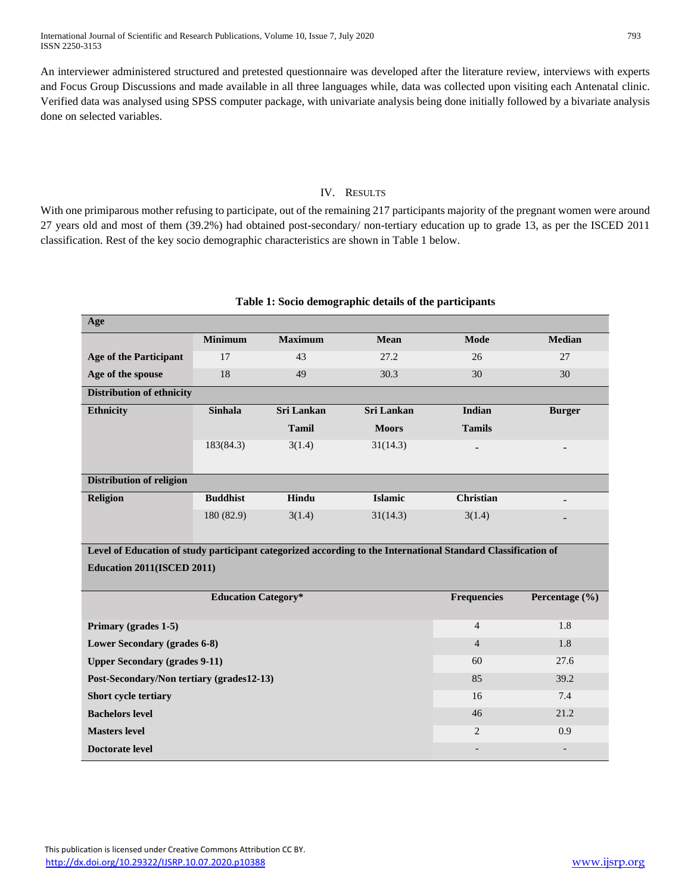An interviewer administered structured and pretested questionnaire was developed after the literature review, interviews with experts and Focus Group Discussions and made available in all three languages while, data was collected upon visiting each Antenatal clinic. Verified data was analysed using SPSS computer package, with univariate analysis being done initially followed by a bivariate analysis done on selected variables.

### IV. RESULTS

With one primiparous mother refusing to participate, out of the remaining 217 participants majority of the pregnant women were around 27 years old and most of them (39.2%) had obtained post-secondary/ non-tertiary education up to grade 13, as per the ISCED 2011 classification. Rest of the key socio demographic characteristics are shown in Table 1 below.

| Age                                                                                                           |                 |                                        |                          |                  |               |  |  |  |
|---------------------------------------------------------------------------------------------------------------|-----------------|----------------------------------------|--------------------------|------------------|---------------|--|--|--|
|                                                                                                               | <b>Minimum</b>  | <b>Maximum</b>                         | <b>Mean</b>              | <b>Mode</b>      | <b>Median</b> |  |  |  |
| <b>Age of the Participant</b>                                                                                 | 17              | 43                                     | 27.2                     | 26               | 27            |  |  |  |
| Age of the spouse                                                                                             | 18              | 49                                     | 30.3                     | 30               | 30            |  |  |  |
| <b>Distribution of ethnicity</b>                                                                              |                 |                                        |                          |                  |               |  |  |  |
| <b>Sinhala</b><br><b>Ethnicity</b>                                                                            |                 | <b>Sri Lankan</b><br><b>Sri Lankan</b> |                          | Indian           | <b>Burger</b> |  |  |  |
|                                                                                                               |                 | <b>Tamil</b>                           | <b>Moors</b>             | <b>Tamils</b>    |               |  |  |  |
|                                                                                                               | 183(84.3)       | 3(1.4)                                 | 31(14.3)                 |                  |               |  |  |  |
|                                                                                                               |                 |                                        |                          |                  |               |  |  |  |
| <b>Distribution of religion</b>                                                                               |                 |                                        |                          |                  |               |  |  |  |
| <b>Religion</b>                                                                                               | <b>Buddhist</b> | Hindu                                  | <b>Islamic</b>           | <b>Christian</b> |               |  |  |  |
|                                                                                                               | 180 (82.9)      | 3(1.4)                                 | 31(14.3)                 | 3(1.4)           |               |  |  |  |
|                                                                                                               |                 |                                        |                          |                  |               |  |  |  |
| Level of Education of study participant categorized according to the International Standard Classification of |                 |                                        |                          |                  |               |  |  |  |
| Education 2011(ISCED 2011)                                                                                    |                 |                                        |                          |                  |               |  |  |  |
|                                                                                                               |                 |                                        |                          |                  |               |  |  |  |
| <b>Education Category*</b><br>Frequencies<br>Percentage (%)                                                   |                 |                                        |                          |                  |               |  |  |  |
| Primary (grades 1-5)                                                                                          |                 |                                        |                          | $\overline{4}$   | 1.8           |  |  |  |
| Lower Secondary (grades 6-8)                                                                                  |                 |                                        | $\overline{4}$           | 1.8              |               |  |  |  |
| <b>Upper Secondary (grades 9-11)</b>                                                                          |                 |                                        | 60                       | 27.6             |               |  |  |  |
| Post-Secondary/Non tertiary (grades12-13)                                                                     |                 | 85                                     | 39.2                     |                  |               |  |  |  |
| Short cycle tertiary                                                                                          |                 | 16                                     | 7.4                      |                  |               |  |  |  |
| <b>Bachelors level</b>                                                                                        |                 | 46                                     | 21.2                     |                  |               |  |  |  |
| <b>Masters level</b>                                                                                          |                 | $\overline{2}$                         | 0.9                      |                  |               |  |  |  |
| <b>Doctorate level</b>                                                                                        |                 |                                        | $\overline{\phantom{a}}$ |                  |               |  |  |  |

#### **Table 1: Socio demographic details of the participants**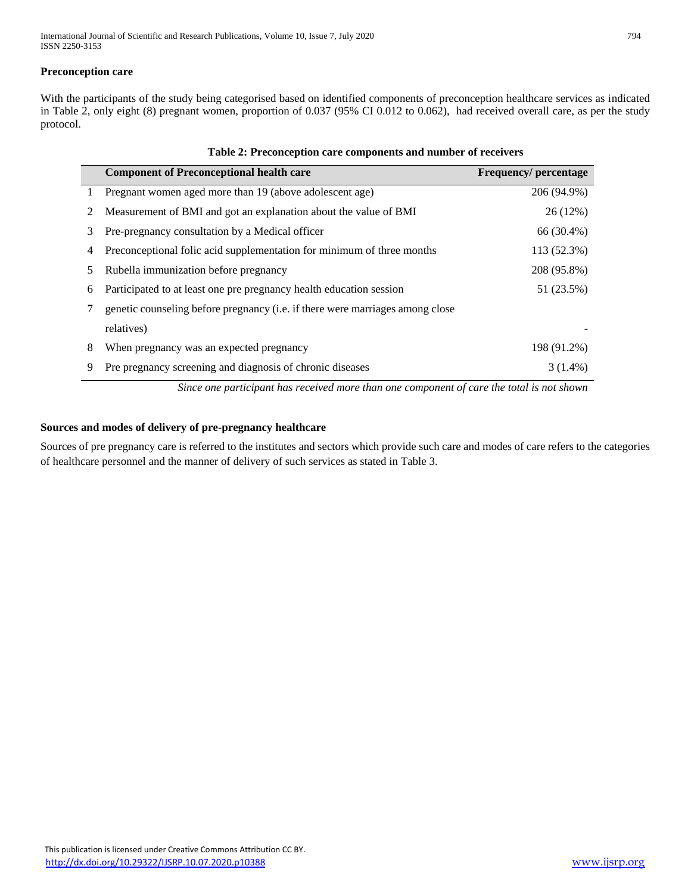International Journal of Scientific and Research Publications, Volume 10, Issue 7, July 2020 794 ISSN 2250-3153

#### **Preconception care**

With the participants of the study being categorised based on identified components of preconception healthcare services as indicated in Table 2, only eight (8) pregnant women, proportion of 0.037 (95% CI 0.012 to 0.062), had received overall care, as per the study protocol.

|    | <b>Component of Preconceptional health care</b>                               | <b>Frequency/percentage</b> |
|----|-------------------------------------------------------------------------------|-----------------------------|
|    | Pregnant women aged more than 19 (above adolescent age)                       | 206 (94.9%)                 |
| 2  | Measurement of BMI and got an explanation about the value of BMI              | 26(12%)                     |
| 3  | Pre-pregnancy consultation by a Medical officer                               | 66 (30.4%)                  |
| 4  | Preconceptional folic acid supplementation for minimum of three months        | 113 (52.3%)                 |
| 5. | Rubella immunization before pregnancy                                         | 208 (95.8%)                 |
| 6  | Participated to at least one pre pregnancy health education session           | 51 (23.5%)                  |
|    | genetic counseling before pregnancy (i.e. if there were marriages among close |                             |
|    | relatives)                                                                    |                             |
| 8  | When pregnancy was an expected pregnancy                                      | 198 (91.2%)                 |
| 9  | Pre pregnancy screening and diagnosis of chronic diseases                     | 3 (1.4%)                    |

*Since one participant has received more than one component of care the total is not shown*

#### **Sources and modes of delivery of pre-pregnancy healthcare**

Sources of pre pregnancy care is referred to the institutes and sectors which provide such care and modes of care refers to the categories of healthcare personnel and the manner of delivery of such services as stated in Table 3.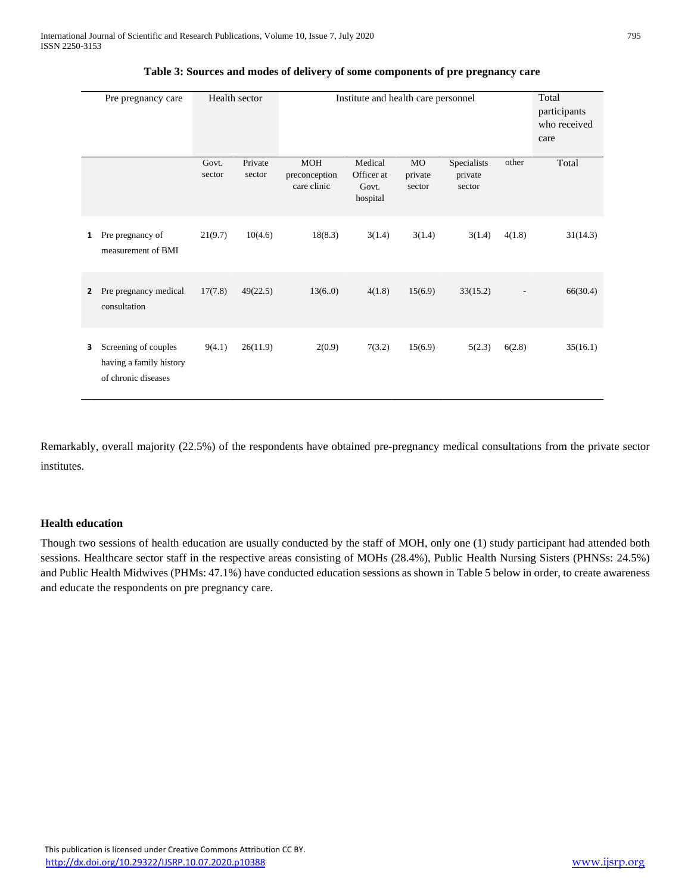|              | Pre pregnancy care                                                     |                 | Health sector     | Institute and health care personnel        |                                            |                                     | Total<br>participants<br>who received<br>care |        |          |
|--------------|------------------------------------------------------------------------|-----------------|-------------------|--------------------------------------------|--------------------------------------------|-------------------------------------|-----------------------------------------------|--------|----------|
|              |                                                                        | Govt.<br>sector | Private<br>sector | <b>MOH</b><br>preconception<br>care clinic | Medical<br>Officer at<br>Govt.<br>hospital | M <sub>O</sub><br>private<br>sector | Specialists<br>private<br>sector              | other  | Total    |
| $\mathbf{1}$ | Pre pregnancy of<br>measurement of BMI                                 | 21(9.7)         | 10(4.6)           | 18(8.3)                                    | 3(1.4)                                     | 3(1.4)                              | 3(1.4)                                        | 4(1.8) | 31(14.3) |
| $\mathbf{2}$ | Pre pregnancy medical<br>consultation                                  | 17(7.8)         | 49(22.5)          | 13(6.0)                                    | 4(1.8)                                     | 15(6.9)                             | 33(15.2)                                      |        | 66(30.4) |
| 3            | Screening of couples<br>having a family history<br>of chronic diseases | 9(4.1)          | 26(11.9)          | 2(0.9)                                     | 7(3.2)                                     | 15(6.9)                             | 5(2.3)                                        | 6(2.8) | 35(16.1) |

**Table 3: Sources and modes of delivery of some components of pre pregnancy care**

Remarkably, overall majority (22.5%) of the respondents have obtained pre-pregnancy medical consultations from the private sector institutes.

#### **Health education**

Though two sessions of health education are usually conducted by the staff of MOH, only one (1) study participant had attended both sessions. Healthcare sector staff in the respective areas consisting of MOHs (28.4%), Public Health Nursing Sisters (PHNSs: 24.5%) and Public Health Midwives (PHMs: 47.1%) have conducted education sessions as shown in Table 5 below in order, to create awareness and educate the respondents on pre pregnancy care.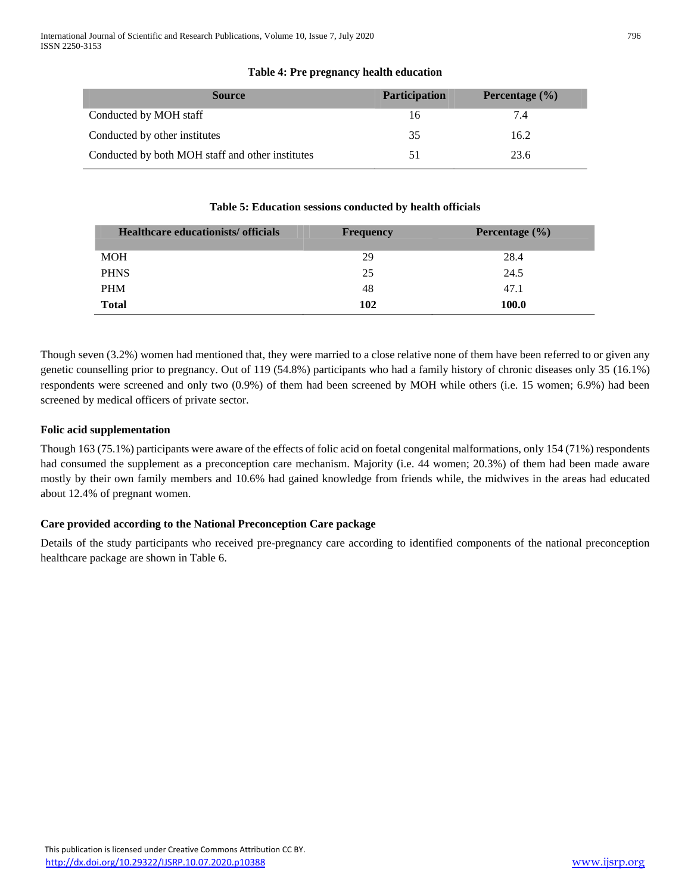| <b>Source</b>                                    | <b>Participation</b> | Percentage $(\% )$ |
|--------------------------------------------------|----------------------|--------------------|
| Conducted by MOH staff                           | 16                   | 7.4                |
| Conducted by other institutes                    | 35                   | 16.2               |
| Conducted by both MOH staff and other institutes |                      | 23.6               |

# **Table 4: Pre pregnancy health education**

#### **Table 5: Education sessions conducted by health officials**

| Healthcare educationists/ officials | <b>Frequency</b> | Percentage $(\% )$ |
|-------------------------------------|------------------|--------------------|
| <b>MOH</b>                          | 29               | 28.4               |
| <b>PHNS</b>                         | 25               | 24.5               |
| <b>PHM</b>                          | 48               | 47.1               |
| <b>Total</b>                        | 102              | 100.0              |

Though seven (3.2%) women had mentioned that, they were married to a close relative none of them have been referred to or given any genetic counselling prior to pregnancy. Out of 119 (54.8%) participants who had a family history of chronic diseases only 35 (16.1%) respondents were screened and only two (0.9%) of them had been screened by MOH while others (i.e. 15 women; 6.9%) had been screened by medical officers of private sector.

## **Folic acid supplementation**

Though 163 (75.1%) participants were aware of the effects of folic acid on foetal congenital malformations, only 154 (71%) respondents had consumed the supplement as a preconception care mechanism. Majority (i.e. 44 women; 20.3%) of them had been made aware mostly by their own family members and 10.6% had gained knowledge from friends while, the midwives in the areas had educated about 12.4% of pregnant women.

#### **Care provided according to the National Preconception Care package**

Details of the study participants who received pre-pregnancy care according to identified components of the national preconception healthcare package are shown in Table 6.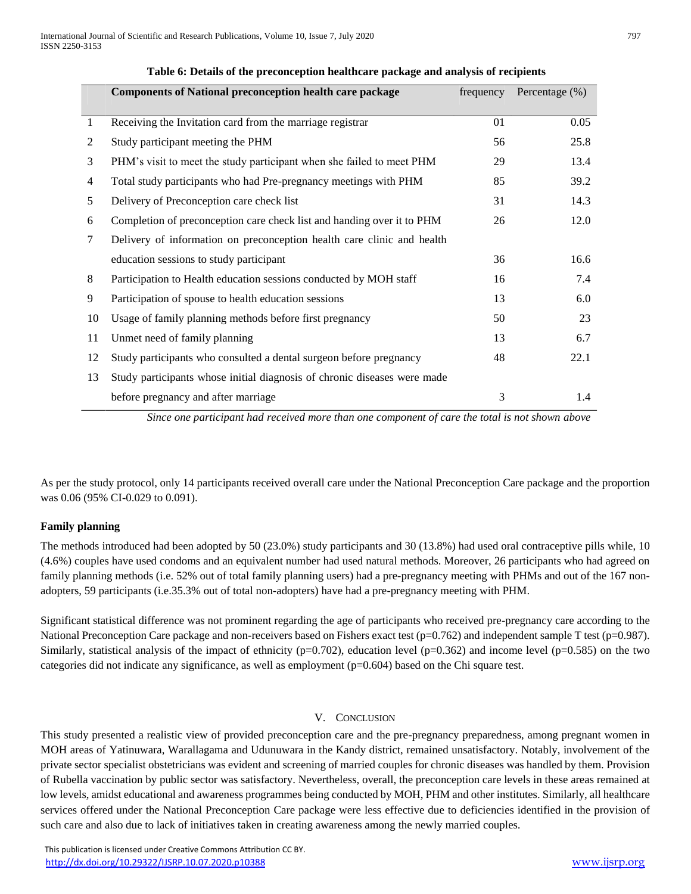|    | <b>Components of National preconception health care package</b>          | frequency | Percentage (%) |
|----|--------------------------------------------------------------------------|-----------|----------------|
|    |                                                                          |           |                |
| 1  | Receiving the Invitation card from the marriage registrar                | 01        | 0.05           |
| 2  | Study participant meeting the PHM                                        | 56        | 25.8           |
| 3  | PHM's visit to meet the study participant when she failed to meet PHM    | 29        | 13.4           |
| 4  | Total study participants who had Pre-pregnancy meetings with PHM         | 85        | 39.2           |
| 5  | Delivery of Preconception care check list                                | 31        | 14.3           |
| 6  | Completion of preconception care check list and handing over it to PHM   | 26        | 12.0           |
| 7  | Delivery of information on preconception health care clinic and health   |           |                |
|    | education sessions to study participant                                  | 36        | 16.6           |
| 8  | Participation to Health education sessions conducted by MOH staff        | 16        | 7.4            |
| 9  | Participation of spouse to health education sessions                     | 13        | 6.0            |
| 10 | Usage of family planning methods before first pregnancy                  | 50        | 23             |
| 11 | Unmet need of family planning                                            | 13        | 6.7            |
| 12 | Study participants who consulted a dental surgeon before pregnancy       | 48        | 22.1           |
| 13 | Study participants whose initial diagnosis of chronic diseases were made |           |                |
|    | before pregnancy and after marriage                                      | 3         | 1.4            |

#### **Table 6: Details of the preconception healthcare package and analysis of recipients**

*Since one participant had received more than one component of care the total is not shown above*

As per the study protocol, only 14 participants received overall care under the National Preconception Care package and the proportion was 0.06 (95% CI-0.029 to 0.091).

#### **Family planning**

The methods introduced had been adopted by 50 (23.0%) study participants and 30 (13.8%) had used oral contraceptive pills while, 10 (4.6%) couples have used condoms and an equivalent number had used natural methods. Moreover, 26 participants who had agreed on family planning methods (i.e. 52% out of total family planning users) had a pre-pregnancy meeting with PHMs and out of the 167 nonadopters, 59 participants (i.e.35.3% out of total non-adopters) have had a pre-pregnancy meeting with PHM.

Significant statistical difference was not prominent regarding the age of participants who received pre-pregnancy care according to the National Preconception Care package and non-receivers based on Fishers exact test ( $p=0.762$ ) and independent sample T test ( $p=0.987$ ). Similarly, statistical analysis of the impact of ethnicity ( $p=0.702$ ), education level ( $p=0.362$ ) and income level ( $p=0.585$ ) on the two categories did not indicate any significance, as well as employment (p=0.604) based on the Chi square test.

#### V. CONCLUSION

This study presented a realistic view of provided preconception care and the pre-pregnancy preparedness, among pregnant women in MOH areas of Yatinuwara, Warallagama and Udunuwara in the Kandy district, remained unsatisfactory. Notably, involvement of the private sector specialist obstetricians was evident and screening of married couples for chronic diseases was handled by them. Provision of Rubella vaccination by public sector was satisfactory. Nevertheless, overall, the preconception care levels in these areas remained at low levels, amidst educational and awareness programmes being conducted by MOH, PHM and other institutes. Similarly, all healthcare services offered under the National Preconception Care package were less effective due to deficiencies identified in the provision of such care and also due to lack of initiatives taken in creating awareness among the newly married couples.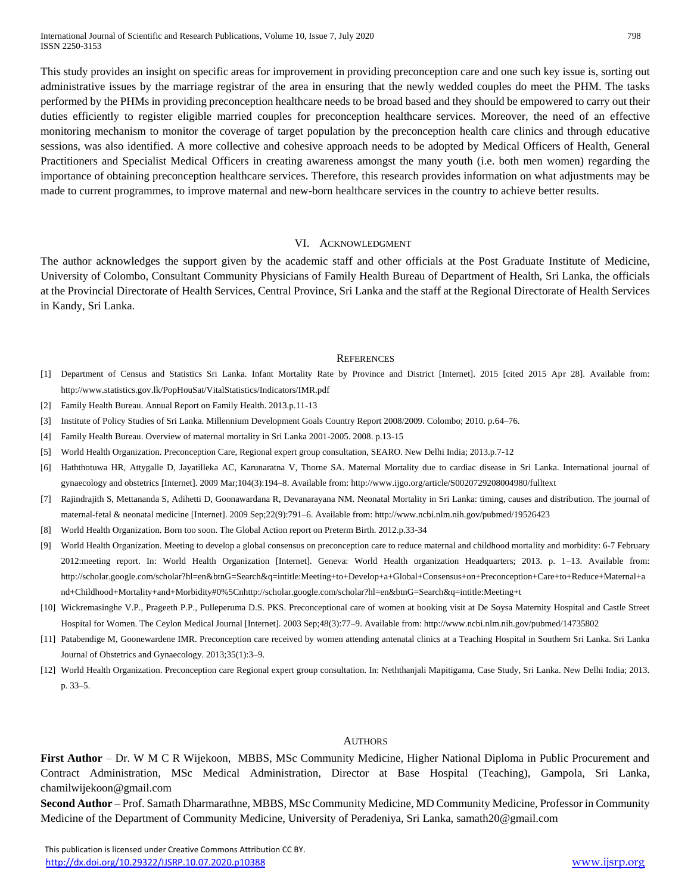This study provides an insight on specific areas for improvement in providing preconception care and one such key issue is, sorting out administrative issues by the marriage registrar of the area in ensuring that the newly wedded couples do meet the PHM. The tasks performed by the PHMs in providing preconception healthcare needs to be broad based and they should be empowered to carry out their duties efficiently to register eligible married couples for preconception healthcare services. Moreover, the need of an effective monitoring mechanism to monitor the coverage of target population by the preconception health care clinics and through educative sessions, was also identified. A more collective and cohesive approach needs to be adopted by Medical Officers of Health, General Practitioners and Specialist Medical Officers in creating awareness amongst the many youth (i.e. both men women) regarding the importance of obtaining preconception healthcare services. Therefore, this research provides information on what adjustments may be made to current programmes, to improve maternal and new-born healthcare services in the country to achieve better results.

#### VI. ACKNOWLEDGMENT

The author acknowledges the support given by the academic staff and other officials at the Post Graduate Institute of Medicine, University of Colombo, Consultant Community Physicians of Family Health Bureau of Department of Health, Sri Lanka, the officials at the Provincial Directorate of Health Services, Central Province, Sri Lanka and the staff at the Regional Directorate of Health Services in Kandy, Sri Lanka.

#### **REFERENCES**

- [1] Department of Census and Statistics Sri Lanka. Infant Mortality Rate by Province and District [Internet]. 2015 [cited 2015 Apr 28]. Available from: http://www.statistics.gov.lk/PopHouSat/VitalStatistics/Indicators/IMR.pdf
- [2] Family Health Bureau. Annual Report on Family Health. 2013.p.11-13
- [3] Institute of Policy Studies of Sri Lanka. Millennium Development Goals Country Report 2008/2009. Colombo; 2010. p.64–76.
- [4] Family Health Bureau. Overview of maternal mortality in Sri Lanka 2001-2005. 2008. p.13-15
- [5] World Health Organization. Preconception Care, Regional expert group consultation, SEARO. New Delhi India; 2013.p.7-12
- [6] Haththotuwa HR, Attygalle D, Jayatilleka AC, Karunaratna V, Thorne SA. Maternal Mortality due to cardiac disease in Sri Lanka. International journal of gynaecology and obstetrics [Internet]. 2009 Mar;104(3):194–8. Available from: http://www.ijgo.org/article/S0020729208004980/fulltext
- [7] Rajindrajith S, Mettananda S, Adihetti D, Goonawardana R, Devanarayana NM. Neonatal Mortality in Sri Lanka: timing, causes and distribution. The journal of maternal-fetal & neonatal medicine [Internet]. 2009 Sep;22(9):791–6. Available from: http://www.ncbi.nlm.nih.gov/pubmed/19526423
- [8] World Health Organization. Born too soon. The Global Action report on Preterm Birth. 2012.p.33-34
- [9] World Health Organization. Meeting to develop a global consensus on preconception care to reduce maternal and childhood mortality and morbidity: 6-7 February 2012:meeting report. In: World Health Organization [Internet]. Geneva: World Health organization Headquarters; 2013. p. 1–13. Available from: http://scholar.google.com/scholar?hl=en&btnG=Search&q=intitle:Meeting+to+Develop+a+Global+Consensus+on+Preconception+Care+to+Reduce+Maternal+a nd+Childhood+Mortality+and+Morbidity#0%5Cnhttp://scholar.google.com/scholar?hl=en&btnG=Search&q=intitle:Meeting+t
- [10] Wickremasinghe V.P., Prageeth P.P., Pulleperuma D.S. PKS. Preconceptional care of women at booking visit at De Soysa Maternity Hospital and Castle Street Hospital for Women. The Ceylon Medical Journal [Internet]. 2003 Sep;48(3):77–9. Available from: http://www.ncbi.nlm.nih.gov/pubmed/14735802
- [11] Patabendige M, Goonewardene IMR. Preconception care received by women attending antenatal clinics at a Teaching Hospital in Southern Sri Lanka. Sri Lanka Journal of Obstetrics and Gynaecology. 2013;35(1):3–9.
- [12] World Health Organization. Preconception care Regional expert group consultation. In: Neththanjali Mapitigama, Case Study, Sri Lanka. New Delhi India; 2013. p. 33–5.

#### AUTHORS

**First Author** – Dr. W M C R Wijekoon, MBBS, MSc Community Medicine, Higher National Diploma in Public Procurement and Contract Administration, MSc Medical Administration, Director at Base Hospital (Teaching), Gampola, Sri Lanka, chamilwijekoon@gmail.com

**Second Author** – Prof. Samath Dharmarathne, MBBS, MSc Community Medicine, MD Community Medicine, Professor in Community Medicine of the Department of Community Medicine, University of Peradeniya, Sri Lanka, samath20@gmail.com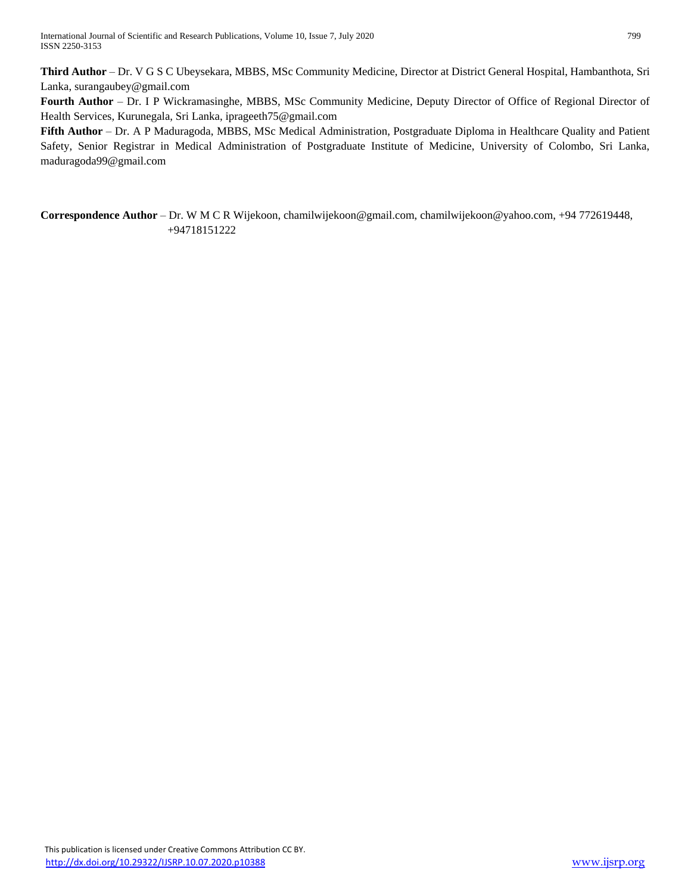**Third Author** – Dr. V G S C Ubeysekara, MBBS, MSc Community Medicine, Director at District General Hospital, Hambanthota, Sri Lanka, surangaubey@gmail.com

**Fourth Author** – Dr. I P Wickramasinghe, MBBS, MSc Community Medicine, Deputy Director of Office of Regional Director of Health Services, Kurunegala, Sri Lanka, iprageeth75@gmail.com

**Fifth Author** – Dr. A P Maduragoda, MBBS, MSc Medical Administration, Postgraduate Diploma in Healthcare Quality and Patient Safety, Senior Registrar in Medical Administration of Postgraduate Institute of Medicine, University of Colombo, Sri Lanka, maduragoda99@gmail.com

**Correspondence Author** – Dr. W M C R Wijekoon, chamilwijekoon@gmail.com, chamilwijekoon@yahoo.com, +94 772619448, +94718151222